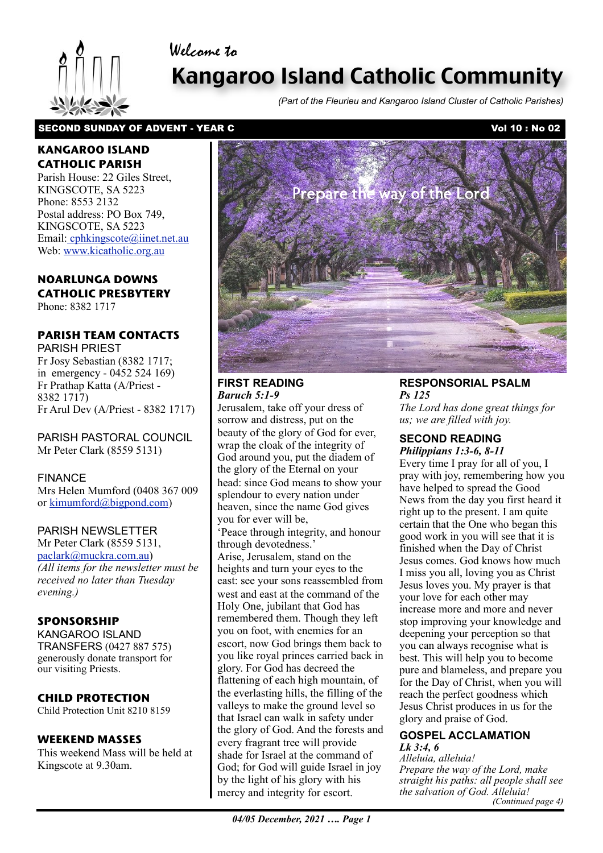Welcome to



# Kangaroo Island Catholic Community

*(Part of the Fleurieu and Kangaroo Island Cluster of Catholic Parishes)*

## SECOND SUNDAY OF ADVENT - YEAR C Vol 10 : No 02

## **KANGAROO ISLAND CATHOLIC PARISH**

Parish House: 22 Giles Street, KINGSCOTE, SA 5223 Phone: 8553 2132 Postal address: PO Box 749, KINGSCOTE, SA 5223 Email[: cphkingscote@iinet.net.au](mailto:cphkingscote@iinet.net.au) Web: [www.kicatholic.org.au](http://www.kicatholic.org.au)

# **NOARLUNGA DOWNS CATHOLIC PRESBYTERY**

Phone: 8382 1717

# **PARISH TEAM CONTACTS**

PARISH PRIEST Fr Josy Sebastian (8382 1717; in emergency - 0452 524 169) Fr Prathap Katta (A/Priest - 8382 1717) Fr Arul Dev (A/Priest - 8382 1717)

PARISH PASTORAL COUNCIL Mr Peter Clark (8559 5131)

## FINANCE

Mrs Helen Mumford (0408 367 009 or [kimumford@bigpond.com\)](mailto:kimumford@bigpond.com)

## PARISH NEWSLETTER

Mr Peter Clark (8559 5131, [paclark@muckra.com.au\)](mailto:paclark@muckra.com.au) *(All items for the newsletter must be received no later than Tuesday evening.)*

## **SPONSORSHIP**

KANGAROO ISLAND TRANSFERS (0427 887 575) generously donate transport for our visiting Priests.

## **CHILD PROTECTION**

Child Protection Unit 8210 8159

## **WEEKEND MASSES**

This weekend Mass will be held at Kingscote at 9.30am.



#### **FIRST READING** *Baruch 5:1-9*

Jerusalem, take off your dress of sorrow and distress, put on the beauty of the glory of God for ever, wrap the cloak of the integrity of God around you, put the diadem of the glory of the Eternal on your head: since God means to show your splendour to every nation under heaven, since the name God gives you for ever will be,

'Peace through integrity, and honour through devotedness.'

mercy and integrity for escort. Arise, Jerusalem, stand on the heights and turn your eyes to the east: see your sons reassembled from west and east at the command of the Holy One, jubilant that God has remembered them. Though they left you on foot, with enemies for an escort, now God brings them back to you like royal princes carried back in glory. For God has decreed the flattening of each high mountain, of the everlasting hills, the filling of the valleys to make the ground level so that Israel can walk in safety under the glory of God. And the forests and every fragrant tree will provide shade for Israel at the command of God; for God will guide Israel in joy by the light of his glory with his

## **RESPONSORIAL PSALM** *Ps 125*

*The Lord has done great things for us; we are filled with joy.*

#### **SECOND READING** *Philippians 1:3-6, 8-11*

Every time I pray for all of you, I pray with joy, remembering how you have helped to spread the Good News from the day you first heard it right up to the present. I am quite certain that the One who began this good work in you will see that it is finished when the Day of Christ Jesus comes. God knows how much I miss you all, loving you as Christ Jesus loves you. My prayer is that your love for each other may increase more and more and never stop improving your knowledge and deepening your perception so that you can always recognise what is best. This will help you to become pure and blameless, and prepare you for the Day of Christ, when you will reach the perfect goodness which Jesus Christ produces in us for the glory and praise of God.

#### **GOSPEL ACCLAMATION** *Lk 3:4, 6*

*Alleluia, alleluia! Prepare the way of the Lord, make straight his paths: all people shall see the salvation of God. Alleluia! (Continued page 4)*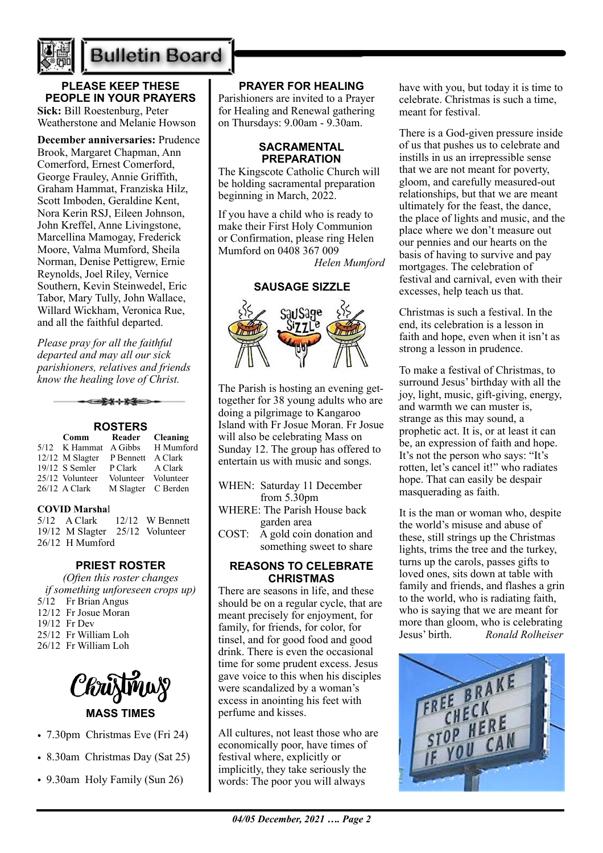

# **Bulletin Board**

## **PLEASE KEEP THESE PEOPLE IN YOUR PRAYERS**

**Sick:** Bill Roestenburg, Peter Weatherstone and Melanie Howson

**December anniversaries:** Prudence Brook, Margaret Chapman, Ann Comerford, Ernest Comerford, George Frauley, Annie Griffith, Graham Hammat, Franziska Hilz, Scott Imboden, Geraldine Kent, Nora Kerin RSJ, Eileen Johnson, John Kreffel, Anne Livingstone, Marcellina Mamogay, Frederick Moore, Valma Mumford, Sheila Norman, Denise Pettigrew, Ernie Reynolds, Joel Riley, Vernice Southern, Kevin Steinwedel, Eric Tabor, Mary Tully, John Wallace, Willard Wickham, Veronica Rue, and all the faithful departed.

*Please pray for all the faithful departed and may all our sick parishioners, relatives and friends know the healing love of Christ.*

⊂₩₩₩₩

#### **ROSTERS Comm Reader Cleaning**

| Comm             | Reader              | <b>Cleaning</b> |
|------------------|---------------------|-----------------|
| 5/12 K Hammat    | A Gibbs             | H Mumford       |
| 12/12 M Slagter  | P Bennett           | A Clark         |
| $19/12$ S Semler | P Clark             | A Clark         |
| 25/12 Volunteer  | Volunteer Volunteer |                 |
| 26/12 A Clark    | M Slagter C Berden  |                 |

#### **COVID Marsha**l

| $5/12$ A Clark                  | $12/12$ W Bennett |
|---------------------------------|-------------------|
| 19/12 M Slagter 25/12 Volunteer |                   |
| 26/12 H Mumford                 |                   |

## **PRIEST ROSTER**

*(Often this roster changes if something unforeseen crops up)* 5/12 Fr Brian Angus 12/12 Fr Josue Moran 19/12 Fr Dev 25/12 Fr William Loh 26/12 Fr William Loh



## **MASS TIMES**

- 7.30pm Christmas Eve (Fri 24)
- 8.30am Christmas Day (Sat 25)
- 9.30am Holy Family (Sun 26)

#### **PRAYER FOR HEALING**

Parishioners are invited to a Prayer for Healing and Renewal gathering on Thursdays: 9.00am - 9.30am.

#### **SACRAMENTAL PREPARATION**

The Kingscote Catholic Church will be holding sacramental preparation beginning in March, 2022.

If you have a child who is ready to make their First Holy Communion or Confirmation, please ring Helen Mumford on 0408 367 009

*Helen Mumford*

## **SAUSAGE SIZZLE**



The Parish is hosting an evening gettogether for 38 young adults who are doing a pilgrimage to Kangaroo Island with Fr Josue Moran. Fr Josue will also be celebrating Mass on Sunday 12. The group has offered to entertain us with music and songs.

- WHEN: Saturday 11 December from  $5.30$ pm
- WHERE: The Parish House back garden area
- COST: A gold coin donation and something sweet to share

#### **REASONS TO CELEBRATE CHRISTMAS**

There are seasons in life, and these should be on a regular cycle, that are meant precisely for enjoyment, for family, for friends, for color, for tinsel, and for good food and good drink. There is even the occasional time for some prudent excess. Jesus gave voice to this when his disciples were scandalized by a woman's excess in anointing his feet with perfume and kisses.

All cultures, not least those who are economically poor, have times of festival where, explicitly or implicitly, they take seriously the words: The poor you will always

have with you, but today it is time to celebrate. Christmas is such a time, meant for festival.

There is a God-given pressure inside of us that pushes us to celebrate and instills in us an irrepressible sense that we are not meant for poverty, gloom, and carefully measured-out relationships, but that we are meant ultimately for the feast, the dance, the place of lights and music, and the place where we don't measure out our pennies and our hearts on the basis of having to survive and pay mortgages. The celebration of festival and carnival, even with their excesses, help teach us that.

Christmas is such a festival. In the end, its celebration is a lesson in faith and hope, even when it isn't as strong a lesson in prudence.

To make a festival of Christmas, to surround Jesus' birthday with all the joy, light, music, gift-giving, energy, and warmth we can muster is, strange as this may sound, a prophetic act. It is, or at least it can be, an expression of faith and hope. It's not the person who says: "It's rotten, let's cancel it!" who radiates hope. That can easily be despair masquerading as faith.

It is the man or woman who, despite the world's misuse and abuse of these, still strings up the Christmas lights, trims the tree and the turkey, turns up the carols, passes gifts to loved ones, sits down at table with family and friends, and flashes a grin to the world, who is radiating faith, who is saying that we are meant for more than gloom, who is celebrating Jesus' birth. *Ronald Rolheiser*

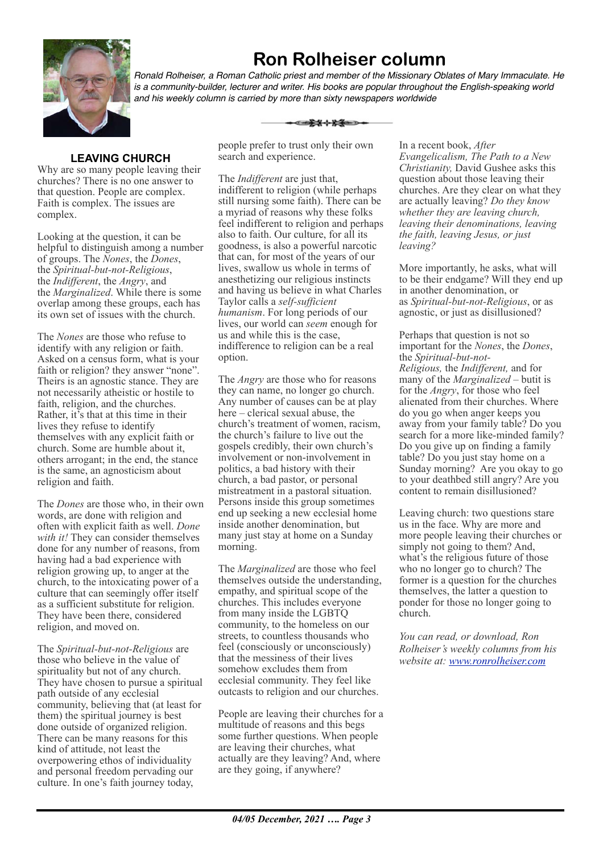

# **Ron Rolheiser column**

*Ronald Rolheiser, a Roman Catholic priest and member of the Missionary Oblates of Mary Immaculate. He is a community-builder, lecturer and writer. His books are popular throughout the English-speaking world and his weekly column is carried by more than sixty newspapers worldwide*

## **LEAVING CHURCH**

Why are so many people leaving their churches? There is no one answer to that question. People are complex. Faith is complex. The issues are complex.

Looking at the question, it can be helpful to distinguish among a number of groups. The *Nones*, the *Dones*, the *Spiritual-but-not-Religious*, the *Indifferent*, the *Angry*, and the *Marginalized*. While there is some overlap among these groups, each has its own set of issues with the church.

The *Nones* are those who refuse to identify with any religion or faith. Asked on a census form, what is your faith or religion? they answer "none". Theirs is an agnostic stance. They are not necessarily atheistic or hostile to faith, religion, and the churches. Rather, it's that at this time in their lives they refuse to identify themselves with any explicit faith or church. Some are humble about it, others arrogant; in the end, the stance is the same, an agnosticism about religion and faith.

The *Dones* are those who, in their own words, are done with religion and often with explicit faith as well. *Done*  with it! They can consider themselves done for any number of reasons, from having had a bad experience with religion growing up, to anger at the church, to the intoxicating power of a culture that can seemingly offer itself as a sufficient substitute for religion. They have been there, considered religion, and moved on.

The *Spiritual-but-not-Religious* are those who believe in the value of spirituality but not of any church. They have chosen to pursue a spiritual path outside of any ecclesial community, believing that (at least for them) the spiritual journey is best done outside of organized religion. There can be many reasons for this kind of attitude, not least the overpowering ethos of individuality and personal freedom pervading our culture. In one's faith journey today,

</u>

people prefer to trust only their own search and experience.

The *Indifferent* are just that, indifferent to religion (while perhaps still nursing some faith). There can be a myriad of reasons why these folks feel indifferent to religion and perhaps also to faith. Our culture, for all its goodness, is also a powerful narcotic that can, for most of the years of our lives, swallow us whole in terms of anesthetizing our religious instincts and having us believe in what Charles Taylor calls a *self-sufficient humanism*. For long periods of our lives, our world can *seem* enough for us and while this is the case, indifference to religion can be a real option.

The *Angry* are those who for reasons they can name, no longer go church. Any number of causes can be at play here – clerical sexual abuse, the church's treatment of women, racism, the church's failure to live out the gospels credibly, their own church's involvement or non-involvement in politics, a bad history with their church, a bad pastor, or personal mistreatment in a pastoral situation. Persons inside this group sometimes end up seeking a new ecclesial home inside another denomination, but many just stay at home on a Sunday morning.

The *Marginalized* are those who feel themselves outside the understanding, empathy, and spiritual scope of the churches. This includes everyone from many inside the LGBTQ community, to the homeless on our streets, to countless thousands who feel (consciously or unconsciously) that the messiness of their lives somehow excludes them from ecclesial community. They feel like outcasts to religion and our churches.

People are leaving their churches for a multitude of reasons and this begs some further questions. When people are leaving their churches, what actually are they leaving? And, where are they going, if anywhere?

In a recent book, *After Evangelicalism, The Path to a New Christianity,* David Gushee asks this question about those leaving their churches. Are they clear on what they are actually leaving? *Do they know whether they are leaving church, leaving their denominations, leaving the faith, leaving Jesus, or just leaving?* 

More importantly, he asks, what will to be their endgame? Will they end up in another denomination, or as *Spiritual-but-not-Religious*, or as agnostic, or just as disillusioned?

Perhaps that question is not so important for the *Nones*, the *Dones*, the *Spiritual-but-not-Religious,* the *Indifferent,* and for many of the *Marginalized –* butit is for the *Angry*, for those who feel alienated from their churches. Where do you go when anger keeps you away from your family table? Do you search for a more like-minded family? Do you give up on finding a family table? Do you just stay home on a Sunday morning? Are you okay to go to your deathbed still angry? Are you content to remain disillusioned?

Leaving church: two questions stare us in the face. Why are more and more people leaving their churches or simply not going to them? And, what's the religious future of those who no longer go to church? The former is a question for the churches themselves, the latter a question to ponder for those no longer going to church.

*You can read, or download, Ron Rolheiser's weekly columns from his website at: [www.ronrolheiser.com](http://www.ronrolheiser.com)*